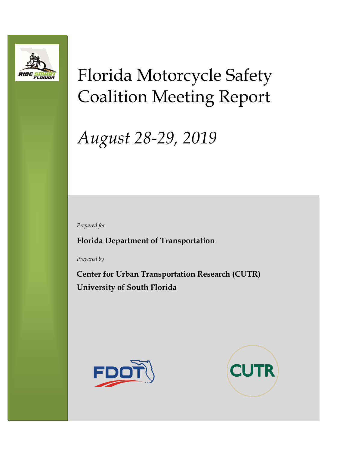

# Florida Motorcycle Safety Coalition Meeting Report

# *August 28-29, 2019*

*Prepared for*

**Florida Department of Transportation**

*Prepared by*

**Center for Urban Transportation Research (CUTR) University of South Florida**



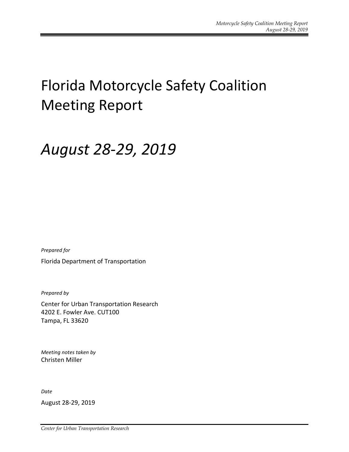## Florida Motorcycle Safety Coalition Meeting Report

## *August 28-29, 2019*

*Prepared for*

Florida Department of Transportation

*Prepared by*

Center for Urban Transportation Research 4202 E. Fowler Ave. CUT100 Tampa, FL 33620

*Meeting notes taken by* Christen Miller

*Date*

August 28-29, 2019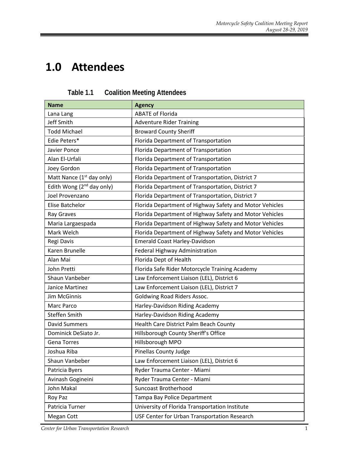## **1.0 Attendees**

| <b>Name</b>                           | <b>Agency</b>                                           |
|---------------------------------------|---------------------------------------------------------|
| Lana Lang                             | <b>ABATE of Florida</b>                                 |
| Jeff Smith                            | <b>Adventure Rider Training</b>                         |
| <b>Todd Michael</b>                   | <b>Broward County Sheriff</b>                           |
| Edie Peters*                          | Florida Department of Transportation                    |
| Javier Ponce                          | Florida Department of Transportation                    |
| Alan El-Urfali                        | Florida Department of Transportation                    |
| Joey Gordon                           | Florida Department of Transportation                    |
| Matt Nance (1 <sup>st</sup> day only) | Florida Department of Transportation, District 7        |
| Edith Wong $(2^{nd}$ day only)        | Florida Department of Transportation, District 7        |
| Joel Provenzano                       | Florida Department of Transportation, District 7        |
| Elise Batchelor                       | Florida Department of Highway Safety and Motor Vehicles |
| Ray Graves                            | Florida Department of Highway Safety and Motor Vehicles |
| Maria Largaespada                     | Florida Department of Highway Safety and Motor Vehicles |
| Mark Welch                            | Florida Department of Highway Safety and Motor Vehicles |
| Regi Davis                            | <b>Emerald Coast Harley-Davidson</b>                    |
| Karen Brunelle                        | Federal Highway Administration                          |
| Alan Mai                              | Florida Dept of Health                                  |
| John Pretti                           | Florida Safe Rider Motorcycle Training Academy          |
| Shaun Vanbeber                        | Law Enforcement Liaison (LEL), District 6               |
| Janice Martinez                       | Law Enforcement Liaison (LEL), District 7               |
| Jim McGinnis                          | Goldwing Road Riders Assoc.                             |
| <b>Marc Parco</b>                     | Harley-Davidson Riding Academy                          |
| Steffen Smith                         | Harley-Davidson Riding Academy                          |
| <b>David Summers</b>                  | Health Care District Palm Beach County                  |
| Dominick DeSiato Jr.                  | Hillsborough County Sheriff's Office                    |
| <b>Gena Torres</b>                    | Hillsborough MPO                                        |
| Joshua Riba                           | <b>Pinellas County Judge</b>                            |
| Shaun Vanbeber                        | Law Enforcement Liaison (LEL), District 6               |
| Patricia Byers                        | Ryder Trauma Center - Miami                             |
| Avinash Gogineini                     | Ryder Trauma Center - Miami                             |
| John Makal                            | <b>Suncoast Brotherhood</b>                             |
| Roy Paz                               | Tampa Bay Police Department                             |
| Patricia Turner                       | University of Florida Transportation Institute          |
| Megan Cott                            | USF Center for Urban Transportation Research            |

| Table 1.1 | <b>Coalition Meeting Attendees</b> |
|-----------|------------------------------------|
|-----------|------------------------------------|

**Center for Urban Transportation Research** 1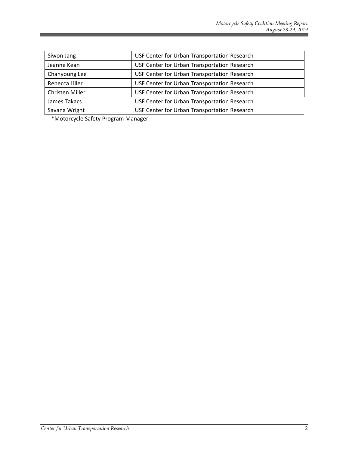| Siwon Jang      | USF Center for Urban Transportation Research |
|-----------------|----------------------------------------------|
| Jeanne Kean     | USF Center for Urban Transportation Research |
| Chanyoung Lee   | USF Center for Urban Transportation Research |
| Rebecca Liller  | USF Center for Urban Transportation Research |
| Christen Miller | USF Center for Urban Transportation Research |
| James Takacs    | USF Center for Urban Transportation Research |
| Savana Wright   | USF Center for Urban Transportation Research |

\*Motorcycle Safety Program Manager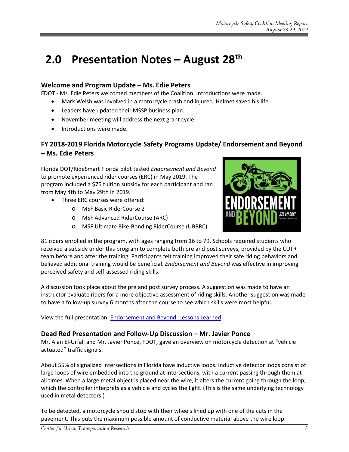### **2.0 Presentation Notes – August 28th**

#### **Welcome and Program Update – Ms. Edie Peters**

FDOT - Ms. Edie Peters welcomed members of the Coalition. Introductions were made.

- Mark Welsh was involved in a motorcycle crash and injured. Helmet saved his life.
- Leaders have updated their MSSP business plan.
- November meeting will address the next grant cycle.
- Introductions were made.

#### **FY 2018-2019 Florida Motorcycle Safety Programs Update/ Endorsement and Beyond – Ms. Edie Peters**

Florida DOT/RideSmart Florida pilot tested *Endorsement and Beyond* to promote experienced rider courses (ERC) in May 2019. The program included a \$75 tuition subsidy for each participant and ran from May 4th to May 29th in 2019.

- Three ERC courses were offered:
	- o MSF Basic RiderCourse 2
	- o MSF Advanced RiderCourse (ARC)
	- o MSF Ultimate Bike-Bonding RiderCourse (UBBRC)



81 riders enrolled in the program, with ages ranging from 16 to 79. Schools required students who received a subsidy under this program to complete both pre and post surveys, provided by the CUTR team before and after the training. Participants felt training improved their safe riding behaviors and believed additional training would be beneficial. *Endorsement and Beyond* was effective in improving perceived safety and self-assessed riding skills.

A discussion took place about the pre and post survey process. A suggestion was made to have an instructor evaluate riders for a more objective assessment of riding skills. Another suggestion was made to have a follow-up survey 6 months after the course to see which skills were most helpful.

View the full presentation: [Endorsement and Beyond: Lessons Learned](https://usfedu-my.sharepoint.com/:b:/g/personal/christenm_usf_edu/Edp_U0qrfhJGo4cg-A8AtOcBPByHsm8CziS0HPFbqYFTLg?e=TVJ5Kj)

#### **Dead Red Presentation and Follow-Up Discussion – Mr. Javier Ponce**

Mr. Alan El-Urfali and Mr. Javier Ponce, FDOT, gave an overview on motorcycle detection at "vehicle actuated" traffic signals.

About 55% of signalized intersections in Florida have inductive loops. Inductive detector loops consist of large loops of wire embedded into the ground at intersections, with a current passing through them at all times. When a large metal object is placed near the wire, it alters the current going through the loop, which the controller interprets as a vehicle and cycles the light. (This is the same underlying technology used in metal detectors.)

To be detected, a motorcycle should stop with their wheels lined up with one of the cuts in the pavement. This puts the maximum possible amount of conductive material above the wire loop.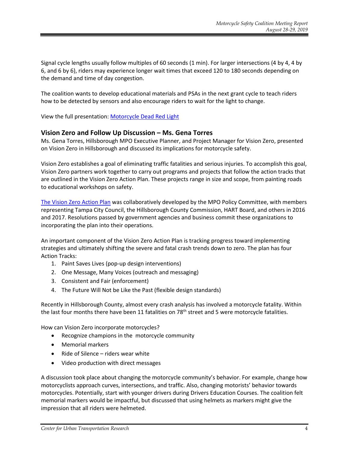Signal cycle lengths usually follow multiples of 60 seconds (1 min). For larger intersections (4 by 4, 4 by 6, and 6 by 6), riders may experience longer wait times that exceed 120 to 180 seconds depending on the demand and time of day congestion.

The coalition wants to develop educational materials and PSAs in the next grant cycle to teach riders how to be detected by sensors and also encourage riders to wait for the light to change.

View the full presentation[: Motorcycle Dead Red Light](https://usfedu-my.sharepoint.com/:b:/g/personal/christenm_usf_edu/EamXDFkQ-1pLvxDVCdv7wEQB_925Rm3Kimowz8VFn0XQPw?e=KTZLgC)

#### **Vision Zero and Follow Up Discussion – Ms. Gena Torres**

Ms. Gena Torres, Hillsborough MPO Executive Planner, and Project Manager for Vision Zero, presented on Vision Zero in Hillsborough and discussed its implications for motorcycle safety.

Vision Zero establishes a goal of eliminating traffic fatalities and serious injuries. To accomplish this goal, Vision Zero partners work together to carry out programs and projects that follow the action tracks that are outlined in the Vision Zero Action Plan. These projects range in size and scope, from painting roads to educational workshops on safety.

[The Vision Zero Action Plan](http://www.planhillsborough.org/wp-content/uploads/2017/08/VZ_ActionPlan_Final_Dec2017-smaller.pdf) was collaboratively developed by the MPO Policy Committee, with members representing Tampa City Council, the Hillsborough County Commission, HART Board, and others in 2016 and 2017. Resolutions passed by government agencies and business commit these organizations to incorporating the plan into their operations.

An important component of the Vision Zero Action Plan is tracking progress toward implementing strategies and ultimately shifting the severe and fatal crash trends down to zero. The plan has four Action Tracks:

- 1. Paint Saves Lives (pop-up design interventions)
- 2. One Message, Many Voices (outreach and messaging)
- 3. Consistent and Fair (enforcement)
- 4. The Future Will Not be Like the Past (flexible design standards)

Recently in Hillsborough County, almost every crash analysis has involved a motorcycle fatality. Within the last four months there have been 11 fatalities on 78<sup>th</sup> street and 5 were motorcycle fatalities.

How can Vision Zero incorporate motorcycles?

- Recognize champions in the motorcycle community
- Memorial markers
- Ride of Silence riders wear white
- Video production with direct messages

A discussion took place about changing the motorcycle community's behavior. For example, change how motorcyclists approach curves, intersections, and traffic. Also, changing motorists' behavior towards motorcycles. Potentially, start with younger drivers during Drivers Education Courses. The coalition felt memorial markers would be impactful, but discussed that using helmets as markers might give the impression that all riders were helmeted.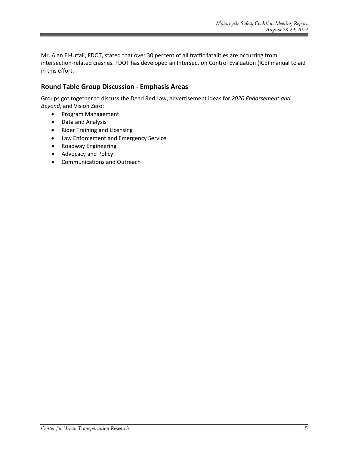Mr. Alan El-Urfali, FDOT, stated that over 30 percent of all traffic fatalities are occurring from intersection-related crashes. FDOT has developed an Intersection Control Evaluation (ICE) manual to aid in this effort.

#### **Round Table Group Discussion - Emphasis Areas**

Groups got together to discuss the Dead Red Law, advertisement ideas for *2020 Endorsement and Beyond*, and Vision Zero:

- Program Management
- Data and Analysis
- Rider Training and Licensing
- Law Enforcement and Emergency Service
- Roadway Engineering
- Advocacy and Policy
- Communications and Outreach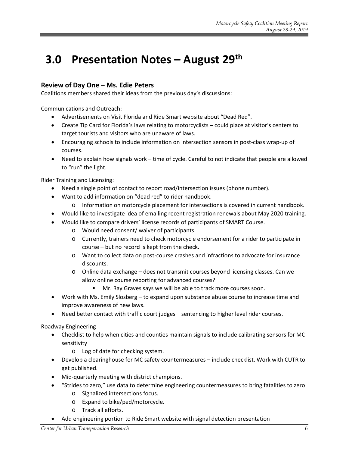### **3.0 Presentation Notes – August 29th**

#### **Review of Day One – Ms. Edie Peters**

Coalitions members shared their ideas from the previous day's discussions:

Communications and Outreach:

- Advertisements on Visit Florida and Ride Smart website about "Dead Red".
- Create Tip Card for Florida's laws relating to motorcyclists could place at visitor's centers to target tourists and visitors who are unaware of laws.
- Encouraging schools to include information on intersection sensors in post-class wrap-up of courses.
- Need to explain how signals work time of cycle. Careful to not indicate that people are allowed to "run" the light.

Rider Training and Licensing:

- Need a single point of contact to report road/intersection issues (phone number).
- Want to add information on "dead red" to rider handbook.
	- o Information on motorcycle placement for intersections is covered in current handbook.
- Would like to investigate idea of emailing recent registration renewals about May 2020 training.
- Would like to compare drivers' license records of participants of SMART Course.
	- o Would need consent/ waiver of participants.
	- o Currently, trainers need to check motorcycle endorsement for a rider to participate in course – but no record is kept from the check.
	- o Want to collect data on post-course crashes and infractions to advocate for insurance discounts.
	- o Online data exchange does not transmit courses beyond licensing classes. Can we allow online course reporting for advanced courses?
		- Mr. Ray Graves says we will be able to track more courses soon.
- Work with Ms. Emily Slosberg to expand upon substance abuse course to increase time and improve awareness of new laws.
- Need better contact with traffic court judges sentencing to higher level rider courses.

Roadway Engineering

- Checklist to help when cities and counties maintain signals to include calibrating sensors for MC sensitivity
	- o Log of date for checking system.
- Develop a clearinghouse for MC safety countermeasures include checklist. Work with CUTR to get published.
- Mid-quarterly meeting with district champions.
- "Strides to zero," use data to determine engineering countermeasures to bring fatalities to zero
	- o Signalized intersections focus.
	- o Expand to bike/ped/motorcycle.
	- o Track all efforts.
- Add engineering portion to Ride Smart website with signal detection presentation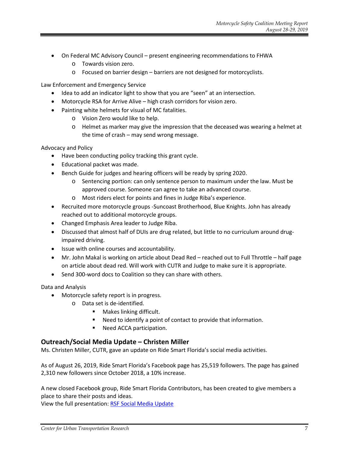- On Federal MC Advisory Council present engineering recommendations to FHWA
	- o Towards vision zero.
	- o Focused on barrier design barriers are not designed for motorcyclists.

Law Enforcement and Emergency Service

- Idea to add an indicator light to show that you are "seen" at an intersection.
- Motorcycle RSA for Arrive Alive high crash corridors for vision zero.
- Painting white helmets for visual of MC fatalities.
	- o Vision Zero would like to help.
	- $\circ$  Helmet as marker may give the impression that the deceased was wearing a helmet at the time of crash – may send wrong message.

Advocacy and Policy

- Have been conducting policy tracking this grant cycle.
- Educational packet was made.
- Bench Guide for judges and hearing officers will be ready by spring 2020.
	- o Sentencing portion: can only sentence person to maximum under the law. Must be approved course. Someone can agree to take an advanced course.
	- o Most riders elect for points and fines in Judge Riba's experience.
- Recruited more motorcycle groups -Suncoast Brotherhood, Blue Knights. John has already reached out to additional motorcycle groups.
- Changed Emphasis Area leader to Judge Riba.
- Discussed that almost half of DUIs are drug related, but little to no curriculum around drugimpaired driving.
- Issue with online courses and accountability.
- Mr. John Makal is working on article about Dead Red reached out to Full Throttle half page on article about dead red. Will work with CUTR and Judge to make sure it is appropriate.
- Send 300-word docs to Coalition so they can share with others.

Data and Analysis

- Motorcycle safety report is in progress.
	- o Data set is de-identified.
		- **Makes linking difficult.**
		- Need to identify a point of contact to provide that information.
		- Need ACCA participation.

#### **Outreach/Social Media Update – Christen Miller**

Ms. Christen Miller, CUTR, gave an update on Ride Smart Florida's social media activities.

As of August 26, 2019, Ride Smart Florida's Facebook page has 25,519 followers. The page has gained 2,310 new followers since October 2018, a 10% increase.

A new closed Facebook group, Ride Smart Florida Contributors, has been created to give members a place to share their posts and ideas.

View the full presentation: [RSF Social Media Update](https://usfedu-my.sharepoint.com/:b:/g/personal/christenm_usf_edu/EdZB4ObKrS1Dl3vqpd3Z3fAB_waM8TsgujKsZXHHpCLdTw?e=5d17HS)